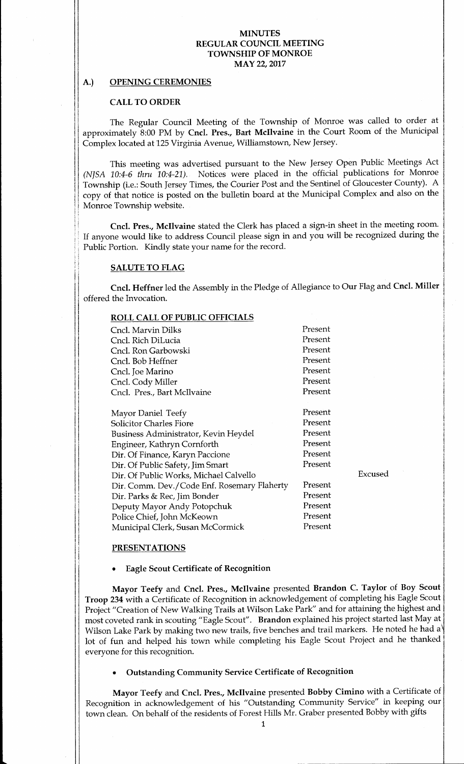### A.) OPENING CEREMONIES

#### CALL TO ORDER

i

is

ii

The Regular Council Meeting of the Township of Monroe was called to order at approximately 8:00 PM by Cncl. Pres., Bart McIlvaine in the Court Room of the Municipal Complex located at 125 Virginia Avenue, Williamstown, New Jersey.

This meeting was advertised pursuant to the New Jersey Open Public Meetings Act NJSA 10:4-6 thru 10:4-21). Notices were placed in the official publications for Monroe Township (i.e.: South Jersey Times, the Courier Post and the Sentinel of Gloucester County). <sup>A</sup> copy of that notice is posted on the bulletin board at the Municipal Complex and also on the Monroe Township website.

Cncl. Pres., Mcllvaine stated the Clerk has placed a sign-in sheet in the meeting room. If anyone would like to address Council please sign in and you will be recognized during the Public Portion. Kindly state your name for the record.

#### SALUTE TO FLAG

Cncl. Heffner led the Assembly in the Pledge of Allegiance to Our Flag and Cncl. Miller offered the Invocation.

# ROLL CALL OF PUBLIC OFFICIALS

| ROLL CALL OF POBLIC OFFICIALS               |         |         |  |
|---------------------------------------------|---------|---------|--|
| Cncl. Marvin Dilks                          | Present |         |  |
| Cncl. Rich DiLucia                          | Present |         |  |
| Cncl. Ron Garbowski                         | Present |         |  |
| Cncl. Bob Heffner                           | Present |         |  |
| Cncl. Joe Marino                            | Present |         |  |
| Cncl. Cody Miller                           | Present |         |  |
| Cncl. Pres., Bart McIlvaine                 | Present |         |  |
|                                             |         |         |  |
| Mayor Daniel Teefy                          | Present |         |  |
| Solicitor Charles Fiore                     | Present |         |  |
| Business Administrator, Kevin Heydel        | Present |         |  |
| Engineer, Kathryn Cornforth                 | Present |         |  |
| Dir. Of Finance, Karyn Paccione             | Present |         |  |
| Dir. Of Public Safety, Jim Smart            | Present |         |  |
| Dir. Of Public Works, Michael Calvello      |         | Excused |  |
| Dir. Comm. Dev./Code Enf. Rosemary Flaherty | Present |         |  |
| Dir. Parks & Rec, Jim Bonder                | Present |         |  |
| Deputy Mayor Andy Potopchuk                 | Present |         |  |
| Police Chief, John McKeown                  | Present |         |  |
| Municipal Clerk, Susan McCormick            | Present |         |  |

#### PRESENTATIONS

#### Eagle Scout Certificate of Recognition

Mayor Teefy and Cncl. Pres., Mcllvaine presented Brandon C. Taylor of Boy Scout Troop 234 with a Certificate of Recognition in acknowledgement of completing his Eagle Scout Project "Creation of New Walking Trails at Wilson Lake Park" and for attaining the highest and most coveted rank in scouting "Eagle Scout". Brandon explained his project started last May at ٤. Wilson Lake Park by making two new trails, five benches and trail markers. He noted he had a lot of fun and helped his town while completing his Eagle Scout Project and he thanked everyone for this recognition.

### Outstanding Community Service Certificate of Recognition

Mayor Teefy and Cncl. Pres., Mcllvaine presented Bobby Cimino with <sup>a</sup> Certificate of Recognition in acknowledgement of his " Outstanding Community Service" in keeping our town clean. On behalf of the residents of Forest Hills Mr. Graber presented Bobby with gifts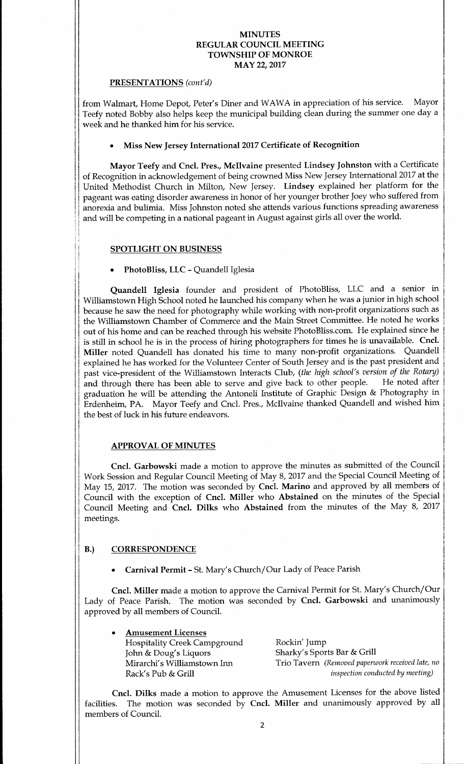#### PRESENTATIONS (cont'd)

from Walmart, Home Depot, Peter's Diner and WAWA in appreciation of his service. Mayor Teefy noted Bobby also helps keep the municipal building clean during the summer one day a week and he thanked him for his service.

#### Miss New Jersey International 2017 Certificate of Recognition

Mayor Teefy and Cncl. Pres., Mcllvaine presented Lindsey Johnston with a Certificate of Recognition in acknowledgement of being crowned Miss New Jersey International 2017 at the pageant was eating disorder awareness in honor of her younger brother Joey who suffered from United Methodist Church in Milton, New Jersey. Lindsey explained her platform for the anorexia and bulimia. Miss Johnston noted she attends various functions spreading awareness and will be competing in <sup>a</sup> national pageant in August against girls all over the world.

#### SPOTLIGHT ON BUSINESS

#### PhotoBliss, LLC- Quandell Iglesia

Quandell Iglesia founder and president of PhotoBliss, LLC and <sup>a</sup> senior in Williamstown High School noted he launched his company when he was <sup>a</sup> junior in high school because he saw the need for photography while working with non-profit organizations such as the Williamstown Chamber of Commerce and the Main Street Committee. He noted he works out of his home and can be reached through his website PhotoBliss.com. He explained since he is still in school he is in the process of hiring photographers for times he is unavailable. Cncl. Miller noted Quandell has donated his time to many non-profit organizations. Quandell explained he has worked for the Volunteer Center of South Jersey and is the past president and past vice-president of the Williamstown Interacts Club, (the high school's version of the Rotary)<br>and through there has been able to serve and give back to other people. He noted after and through there has been able to serve and give back to other people. graduation he will be attending the Antoneli Institute of Graphic Design & Photography in Erdenheim, PA. Mayor Teefy and Cncl. Pres., Mcllvaine thanked Quandell and wished him the best of luck in his future endeavors.

#### APPROVAL OF MINUTES

Cncl. Garbowski made <sup>a</sup> motion to approve the minutes as submitted of the Council Work Session and Regular Council Meeting of May 8, 2017 and the Special Council Meeting of May 15, 2017. The motion was seconded by Cncl. Marino and approved by all members of Council with the exception of Cncl. Miller who Abstained on the minutes of the Special Council Meeting and Cncl. Dilks who Abstained from the minutes of the May 8, 2017 meetings.

#### B.) CORRESPONDENCE

Carnival Permit - St. Mary's Church/ Our Lady of Peace Parish

Cncl. Miller made a motion to approve the Carnival Permit for St. Mary's Church/Our Lady of Peace Parish. The motion was seconded by Cncl. Garbowski and unanimously approved by all members of Council.

Amusement Licenses Hospitality Creek Campground Rockin' Jump<br>John & Doug's Liquors Sharky's Spor John & Doug's Liquors<br>Mirarchi's Williamstown Inn Frio Tavern (Removed paperu

Trio Tavern (Removed paperwork received late, no Rack's Pub & Grill inspection conducted by meeting)

Cncl. Dilks made a motion to approve the Amusement Licenses for the above listed facilities. The motion was seconded by Cncl. Miller and unanimously approved by all members of Council.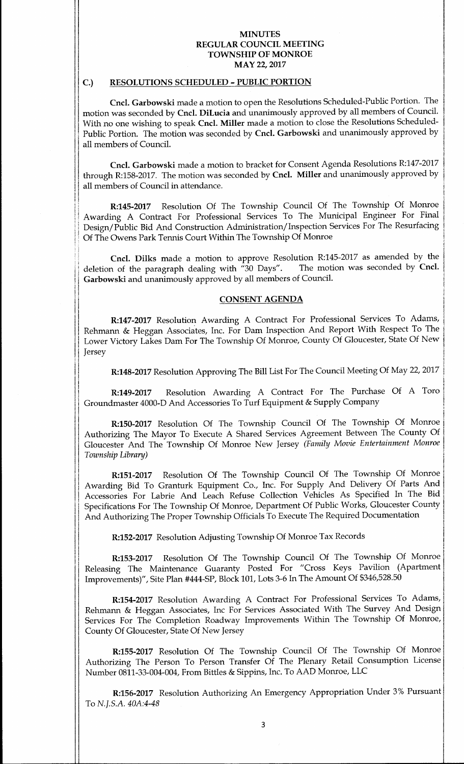#### C.) RESOLUTIONS SCHEDULED- PUBLIC PORTION

Cncl. Garbowski made a motion to open the Resolutions Scheduled-Public Portion. The motion was seconded by Cncl. DiLucia and unanimously approved by all members of Council. With no one wishing to speak Cncl. Miller made <sup>a</sup> motion to close the Resolutions Scheduled-Public Portion. The motion was seconded by Cncl. Garbowski and unanimously approved by all members of Council.

Cncl. Garbowski made <sup>a</sup> motion to bracket for Consent Agenda Resolutions R:147-2017 through R:158-2017. The motion was seconded by Cncl. Miller and unanimously approved by all members of Council in attendance.

R:145-2017 Resolution Of The Township Council Of The Township Of Monroe Awarding A Contract For Professional Services To The Municipal Engineer For Final Design/ Public Bid And Construction Administration/ Inspection Services For The Resurfacing Of The Owens Park Tennis Court Within The Township Of Monroe

Cncl. Dilks made a motion to approve Resolution R:145-2017 as amended by the of the paragraph dealing with "30 Days". The motion was seconded by Cncl. deletion of the paragraph dealing with "30 Days". Garbowski and unanimously approved by all members of Council.

#### CONSENT AGENDA

R:147-2017 Resolution Awarding A Contract For Professional Services To Adams, Rehmann & Heggan Associates, Inc. For Dam Inspection And Report With Respect To The Lower Victory Lakes Dam For The Township Of Monroe, County Of Gloucester, State Of New **Jersey** 

R:148-2017 Resolution Approving The Bill List For The Council Meeting Of May 22, 2017

R:149-2017 Resolution Awarding A Contract For The Purchase Of A Toro Groundmaster 4000-D And Accessories To Turf Equipment& Supply Company

R:150-2017 Resolution Of The Township Council Of The Township Of Monroe Authorizing The Mayor To Execute A Shared Services Agreement Between The County Of Gloucester And The Township Of Monroe New Jersey (Family Movie Entertainment Monroe Township Library)

R:151-2017 Resolution Of The Township Council Of The Township Of Monroe Awarding Bid To Granturk Equipment Co., Inc. For Supply And Delivery Of Parts And Accessories For Labrie And Leach Refuse Collection Vehicles As Specified In The Bid ISpecifications For The Township Of Monroe, Department Of Public Works, Gloucester County And Authorizing The Proper Township Officials To Execute The Required Documentation

i se na matematika na matematika na matematika na matematika na matematika na matematika na matematika na histo

R:152-2017 Resolution Adjusting Township Of Monroe Tax Records

R:153-2017 Resolution Of The Township Council Of The Township Of Monroe Releasing The Maintenance Guaranty Posted For " Cross Keys Pavilion (Apartment Improvements)", Site Plan # 444-SP, Block 101, Lots 3-6 In The Amount Of \$346,528.50

R:154-2017 Resolution Awarding A Contract For Professional Services To Adams, Rehmann & Heggan Associates, Inc For Services Associated With The Survey And Design Services For The Completion Roadway Improvements Within The Township Of Monroe, County Of Gloucester, State Of New Jersey

R:155-2017 Resolution Of The Township Council Of The Township Of Monroe Authorizing The Person To Person Transfer Of The Plenary Retail Consumption License Number 0811-33-004-004, From Bittles & Sippins, Inc. To AAD Monroe, LLC

R:156-2017 Resolution Authorizing An Emergency Appropriation Under 3% Pursuant To N.J.S.A. 40A:4-48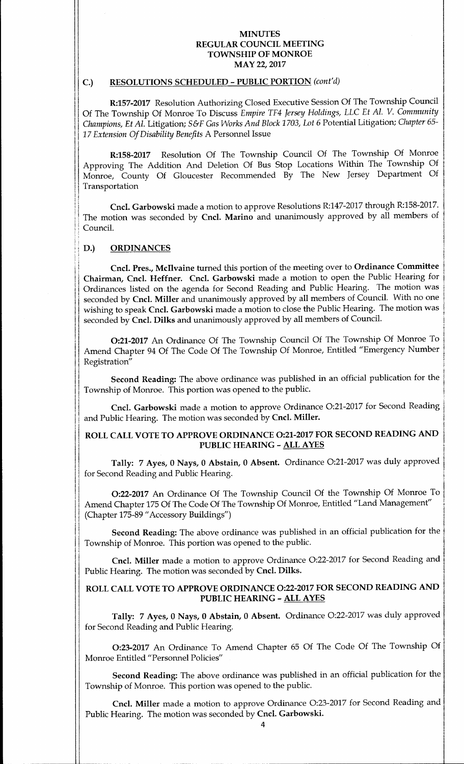#### C.) RESOLUTIONS SCHEDULED - PUBLIC PORTION (cont'd)

R:157-2017 Resolution Authorizing Closed Executive Session Of The Township Council Of The Township Of Monroe To Discuss Empire TF4 Jersey Holdings, LLC Et Al. V. Community Champions, Et Al. Litigation; S&F Gas Works And Block 1703, Lot 6 Potential Litigation; Chapter 65-17 Extension Of Disability Benefits A Personnel Issue

R:158-2017 Resolution Of The Township Council Of The Township Of Monroe Approving The Addition And Deletion Of Bus Stop Locations Within The Township Of Monroe, County Of Gloucester Recommended By The New Jersey Department Of Transportation

Cncl. Garbowski made a motion to approve Resolutions R:147-2017 through R:158-2017. The motion was seconded by Cncl. Marino and unanimously approved by all members of Council.

#### D.) ORDINANCES

s

E

li

ii

Cncl. Pres., Mcllvaine turned this portion of the meeting over to Ordinance Committee Chairman, Cncl. Heffner. Cncl. Garbowski made a motion to open the Public Hearing for seconded by Cncl. Miller and unanimously approved by all members of Council. With no one Ordinances listed on the agenda for Second Reading and Public Hearing. The motion was wishing to speak Cncl. Garbowski made a motion to close the Public Hearing. The motion was seconded by Cncl. Dilks and unanimously approved by all members of Council.

0:21- <sup>2017</sup> An Ordinance Of The Township Council Of The Township Of Monroe To Amend Chapter 94 Of The Code Of The Township Of Monroe, Entitled " Emergency Number Registration"

Second Reading: The above ordinance was published in an official publication for the Township of Monroe. This portion was opened to the public.

Cncl. Garbowski made a motion to approve Ordinance O:21-2017 for Second Reading and Public Hearing. The motion was seconded by Cncl. Miller.

## ROLL CALL VOTE TO APPROVE ORDINANCE O:21-2017 FOR SECOND READING AND PUBLIC HEARING - ALL AYES

Tally: 7 Ayes, 0 Nays, 0 Abstain, 0 Absent. Ordinance O:21-2017 was duly approved for Second Reading and Public Hearing.

0:22-2017 An Ordinance Of The Township Council Of the Township Of Monroe To Amend Chapter 175 Of The Code Of The Township Of Monroe, Entitled "Land Management" Chapter 175-89" Accessory Buildings")

Second Reading: The above ordinance was published in an official publication for the Township of Monroe. This portion was opened to the public.

Cncl. Miller made <sup>a</sup> motion to approve Ordinance 0:22-2017 for Second Reading and Public Hearing. The motion was seconded by Cncl. Dilks.

# ROLL CALL VOTE TO APPROVE ORDINANCE 0:22-2017 FOR SECOND READING AND PUBLIC HEARING- ALL AYES

Tally: 7 Ayes, 0 Nays, 0 Abstain, 0 Absent. Ordinance O:22-2017 was duly approved for Second Reading and Public Hearing.

0:23-2017 An Ordinance To Amend Chapter <sup>65</sup> Of The Code Of The Township Of <sup>1</sup> Monroe Entitled" Personnel Policies"

Second Reading: The above ordinance was published in an official publication for the Township of Monroe. This portion was opened to the public.

Cncl. Miller made <sup>a</sup> motion to approve Ordinance 0:23- <sup>2017</sup> for Second Reading and Public Hearing. The motion was seconded by Cncl. Garbowski.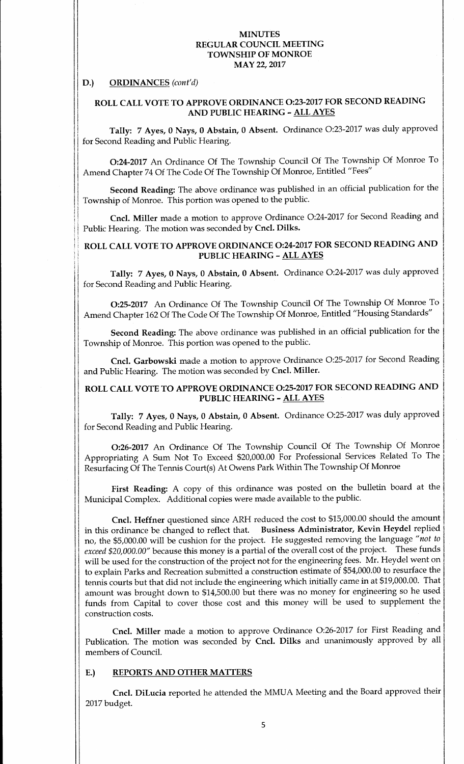# D.) ORDINANCES (cont'd)

sj

3a

# ROLL CALL VOTE TO APPROVE ORDINANCE O:23-2017 FOR SECOND READING AND PUBLIC HEARING - ALL AYES

Tally: 7 Ayes, 0 Nays, 0 Abstain, 0 Absent. Ordinance O:23-2017 was duly approved for Second Reading and Public Hearing.

0:24-2017 An Ordinance Of The Township Council Of The Township Of Monroe To Amend Chapter 74 Of The Code Of The Township Of Monroe, Entitled "Fees"

Second Reading: The above ordinance was published in an official publication for the <sup>1</sup> Township of Monroe. This portion was opened to the public.

Cncl. Miller made <sup>a</sup> motion to approve Ordinance 0:24- <sup>2017</sup> for Second Reading and Public Hearing. The motion was seconded by Cncl. Dilks.

# ROLL CALL VOTE TO APPROVE ORDINANCE 0:24-2017 FOR SECOND READING AND PUBLIC HEARING - ALL AYES

Tally: <sup>7</sup> Ayes, 0 Nays, 0 Abstain, <sup>0</sup> Absent. Ordinance 0:24-2017 was duly approved for Second Reading and Public Hearing.

0:25-2017 An Ordinance Of The Township Council Of The Township Of Monroe To Amend Chapter 162 Of The Code Of The Township Of Monroe, Entitled "Housing Standards"

Second Reading: The above ordinance was published in an official publication for the Township of Monroe. This portion was opened to the public.

Cncl. Garbowski made a motion to approve Ordinance O:25-2017 for Second Reading and Public Hearing. The motion was seconded by Cncl. Miller.

# ROLL CALL VOTE TO APPROVE ORDINANCE O:25-2017 FOR SECOND READING AND PUBLIC HEARING- ALL AYES

Tally: 7 Ayes, 0 Nays, 0 Abstain, 0 Absent. Ordinance O:25-2017 was duly approved for Second Reading and Public Hearing.

0:26-2017 An Ordinance Of The Township Council Of The Township Of Monroe Appropriating A Sum Not To Exceed \$20,000.00 For Professional Services Related To The Resurfacing Of The Tennis Court(s) At Owens Park Within The Township Of Monroe

First Reading: A copy of this ordinance was posted on the bulletin board at the Municipal Complex. Additional copies were made available to the public.

Cncl. Heffner questioned since ARH reduced the cost to \$15, 000.00 should the amount in this ordinance be changed to reflect that. Business Administrator, Kevin Heydel replied no, the \$5,000.00 will be cushion for the project. He suggested removing the language " not to exceed \$20,000.00" because this money is a partial of the overall cost of the project. These funds will be used for the construction of the project not for the engineering fees. Mr. Heydel went on to explain Parks and Recreation submitted a construction estimate of \$54,000.00 to resurface the tennis courts but that did not include the engineering which initially came in at \$19,000.00. That amount was brought down to \$14,500.00 but there was no money for engineering so he used funds from Capital to cover those cost and this money will be used to supplement the construction costs.

Cncl. Miller made a motion to approve Ordinance O:26-2017 for First Reading and Publication. The motion was seconded by Cncl. Dilks and unanimously approved by all members of Council.

#### E.) REPORTS AND OTHER MATTERS

Cncl. DiLucia reported he attended the MMUA Meeting and the Board approved their 2017 budget.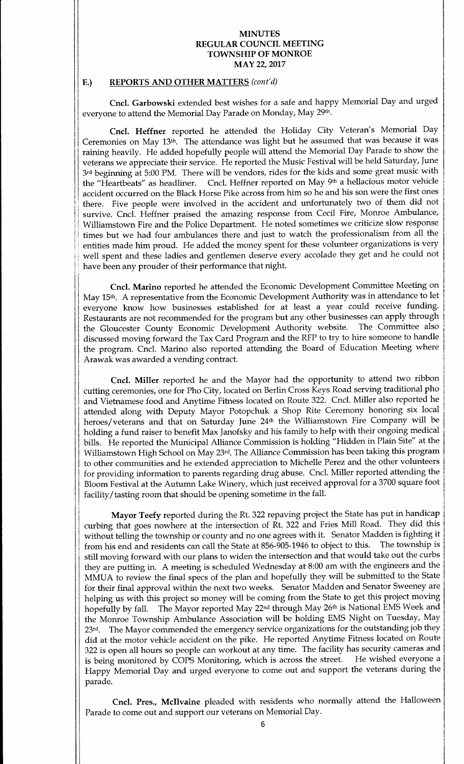#### E.) REPORTS AND OTHER MATTERS (cont'd)

E

Cncl. Garbowski extended best wishes for <sup>a</sup> safe and happy Memorial Day and urged everyone to attend the Memorial Day Parade on Monday, May 29<sup>th</sup>.

Cncl. Heffner reported he attended the Holiday City Veteran's Memorial Day Ceremonies on May 13th. The attendance was light but he assumed that was because it was raining heavily. He added hopefully people will attend the Memorial Day Parade to show the veterans we appreciate their service. He reported the Music Festival will be held Saturday, June  $3<sup>rd</sup>$  beginning at 5:00 PM. There will be vendors, rides for the kids and some great music with the "Heartbeats" as headliner. Cncl. Heffner reported on May  $9<sup>th</sup>$  a hellacious motor vehicle Cncl. Heffner reported on May 9<sup>th</sup> a hellacious motor vehicle accident occurred on the Black Horse Pike across from him so he and his son were the first ones there. Five people were involved in the accident and unfortunately two of them did not survive. Cncl. Heffner praised the amazing response from Cecil Fire, Monroe Ambulance, Williamstown Fire and the Police Department. He noted sometimes we criticize slow response times but we had four ambulances there and just to watch the professionalism from all the entities made him proud. He added the money spent for these volunteer organizations is very well spent and these ladies and gentlemen deserve every accolade they get and he could not have been any prouder of their performance that night.

Cncl. Marino reported he attended the Economic Development Committee Meeting on May 15th. A representative from the Economic Development Authority was in attendance to let everyone know how businesses established for at least <sup>a</sup> year could receive funding. Restaurants are not recommended for the program but any other businesses can apply through the Gloucester County Economic Development Authority website. The Committee also discussed moving forward the Tax Card Program and the RFP to try to hire someone to handle the program. Cncl. Marino also reported attending the Board of Education Meeting where Arawak was awarded a vending contract.

Cncl. Miller reported he and the Mayor had the opportunity to attend two ribbon cutting ceremonies, one for Pho City, located on Berlin Cross Keys Road serving traditional pho and Vietnamese food and Anytime Fitness located on Route 322. Cncl. Miller also reported he attended along with Deputy Mayor Potopchuk a Shop Rite Ceremony honoring six local heroes/ veterans and that on Saturday June 24th the Williamstown Fire Company will be holding <sup>a</sup> fund raiser to benefit Max Janofsky and his family to help with their ongoing medical bills. He reported the Municipal Alliance Commission is holding " Hidden in Plain Site" at the Williamstown High School on May 23rd. The Alliance Commission has been taking this program to other communities and he extended appreciation to Michelle Perez and the other volunteers for providing information to parents regarding drug abuse. Cncl. Miller reported attending the Bloom Festival at the Autumn Lake Winery, which just received approval for a 3700 square foot facility/ tasting room that should be opening sometime in the fall.

Mayor Teefy reported during the Rt. 322 repaving project the State has put in handicap curbing that goes nowhere at the intersection of Rt. 322 and Fries Mill Road. They did this without telling the township or county and no one agrees with it. Senator Madden is fighting it<br>from his end and residents can call the State at 856-905-1946 to object to this. The township is from his end and residents can call the State at 856-905-1946 to object to this. still moving forward with our plans to widen the intersection and that would take out the curbs they are putting in. A meeting is scheduled Wednesday at 8:00 am with the engineers and the MMUA to review the final specs of the plan and hopefully they will be submitted to the State for their final approval within the next two weeks. Senator Madden and Senator Sweeney are helping us with this project so money will be coming from the State to get this project moving<br>hopefully by fall. The Mayor reported May 22<sup>nd</sup> through May 26<sup>th</sup> is National EMS Week and The Mayor reported May 22<sup>nd</sup> through May 26<sup>th</sup> is National EMS Week and the Monroe Township Ambulance Association will be holding EMS Night on Tuesday, May<br>23<sup>rd</sup>. The Mayor commended the emergency service organizations for the outstanding job they The Mayor commended the emergency service organizations for the outstanding job they did at the motor vehicle accident on the pike. He reported Anytime Fitness located on Route 322 is open all hours so people can workout at any time. The facility has security cameras and<br>is being monitored by COPS Monitoring, which is across the street. He wished everyone a is being monitored by COPS Monitoring, which is across the street. Happy Memorial Day and urged everyone to come out and support the veterans during the parade.

Cncl. Pres., Mcllvaine pleaded with residents who normally attend the Halloween Parade to come out and support our veterans on Memorial Day.